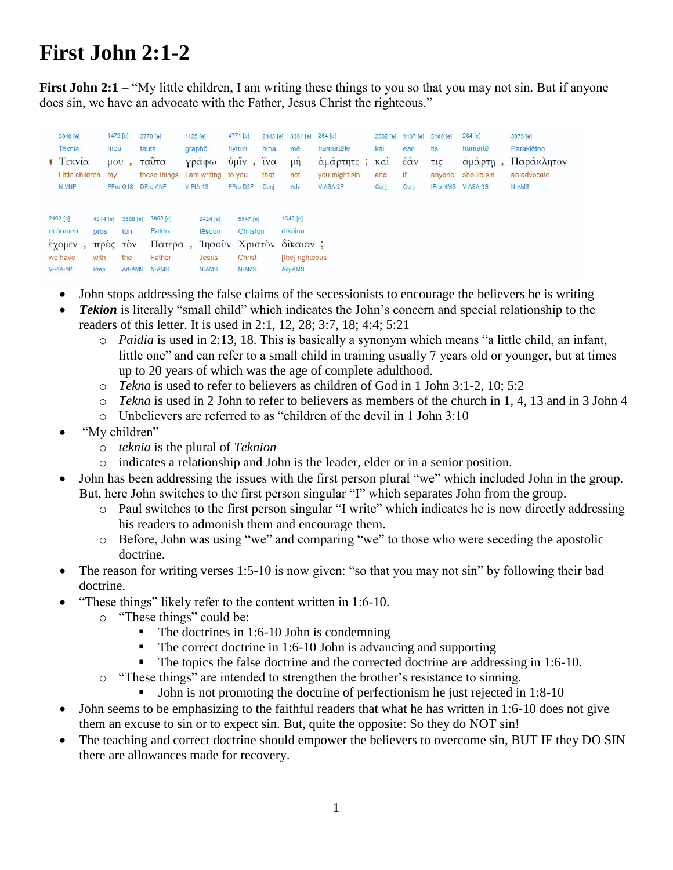## **First John 2:1-2**

**First John 2:1** – "My little children, I am writing these things to you so that you may not sin. But if anyone does sin, we have an advocate with the Father, Jesus Christ the righteous."

| 5040 [e]<br><b>Teknia</b><br>1 Τεκνία<br>Little children<br>N-VNP | mou<br>my                                 | 1473 [e]<br>$\mu$ <sub>1</sub><br>PPro-G1S      | 3778 [e]<br>tauta<br>ταυτα<br>these things<br>DPro-ANP | 1125 [e]<br>graphō | Υραφω<br>am writing<br>V-PIA-1S                | 4771 [e]<br>hymin<br>$\frac{1}{2}$ $\frac{1}{2}$<br>to you<br>PPro-D2P | 2443 [e]<br>hina<br>$1V$ $\alpha$<br>that<br>Coni | 3361 [e]<br>mē<br>$\mu$ ŋ<br>not<br>Adv                                       | 264 [e]<br>hamartēte<br>αμαρτητε ;<br>you might sin<br>V-ASA-2P | 2532 [e]<br>kai<br>KCl<br>and<br>Conj | 1437 [e]<br>ean<br>έάν<br>if<br>Conj | 5100 [e]<br>tis<br>τις<br>anyone<br><b>IPro-NMS</b> | 264 [e]<br>hamarte<br>αμάρτη<br>should sin<br>$V-ASA-3S$ | 3875 [e]<br>Paraklēton<br>Παράκλητον<br>an advocate<br>N-AMS |
|-------------------------------------------------------------------|-------------------------------------------|-------------------------------------------------|--------------------------------------------------------|--------------------|------------------------------------------------|------------------------------------------------------------------------|---------------------------------------------------|-------------------------------------------------------------------------------|-----------------------------------------------------------------|---------------------------------------|--------------------------------------|-----------------------------------------------------|----------------------------------------------------------|--------------------------------------------------------------|
| 2192 [e]<br>echomen<br>εχομεν<br>we have<br>V-PIA-1P              | 4314 [e]<br>pros<br>тгрос<br>with<br>Prep | 3588 [e]<br>ton<br><b>TOV</b><br>the<br>Art-AMS | 3962 [e]<br>Patera<br>Πατέρα<br>Father<br>N-AMS        |                    | 2424 [e]<br>lēsoun<br>Ίησοῦν<br>Jesus<br>N-AMS | 5547 [e]<br>Christon<br>Χριστον<br>Christ<br>N-AMS                     |                                                   | 1342 [e]<br>dikaion<br>$\delta$ <i>ikalov</i> :<br>[the] righteous<br>Adj-AMS |                                                                 |                                       |                                      |                                                     |                                                          |                                                              |

- John stops addressing the false claims of the secessionists to encourage the believers he is writing
- *Tekion* is literally "small child" which indicates the John's concern and special relationship to the readers of this letter. It is used in 2:1, 12, 28; 3:7, 18; 4:4; 5:21
	- o *Paidia* is used in 2:13, 18. This is basically a synonym which means "a little child, an infant, little one" and can refer to a small child in training usually 7 years old or younger, but at times up to 20 years of which was the age of complete adulthood.
	- o *Tekna* is used to refer to believers as children of God in 1 John 3:1-2, 10; 5:2
	- o *Tekna* is used in 2 John to refer to believers as members of the church in 1, 4, 13 and in 3 John 4
	- o Unbelievers are referred to as "children of the devil in 1 John 3:10
- "My children"
	- o *teknia* is the plural of *Teknion*
	- o indicates a relationship and John is the leader, elder or in a senior position.
- John has been addressing the issues with the first person plural "we" which included John in the group. But, here John switches to the first person singular "I" which separates John from the group.
	- o Paul switches to the first person singular "I write" which indicates he is now directly addressing his readers to admonish them and encourage them.
	- o Before, John was using "we" and comparing "we" to those who were seceding the apostolic doctrine.
- The reason for writing verses 1:5-10 is now given: "so that you may not sin" by following their bad doctrine.
- "These things" likely refer to the content written in 1:6-10.
	- o "These things" could be:
		- $\blacksquare$  The doctrines in 1:6-10 John is condemning
		- The correct doctrine in 1:6-10 John is advancing and supporting
		- The topics the false doctrine and the corrected doctrine are addressing in 1:6-10.
	- o "These things" are intended to strengthen the brother's resistance to sinning.
		- Iohn is not promoting the doctrine of perfectionism he just rejected in 1:8-10
- John seems to be emphasizing to the faithful readers that what he has written in 1:6-10 does not give them an excuse to sin or to expect sin. But, quite the opposite: So they do NOT sin!
- The teaching and correct doctrine should empower the believers to overcome sin, BUT IF they DO SIN there are allowances made for recovery.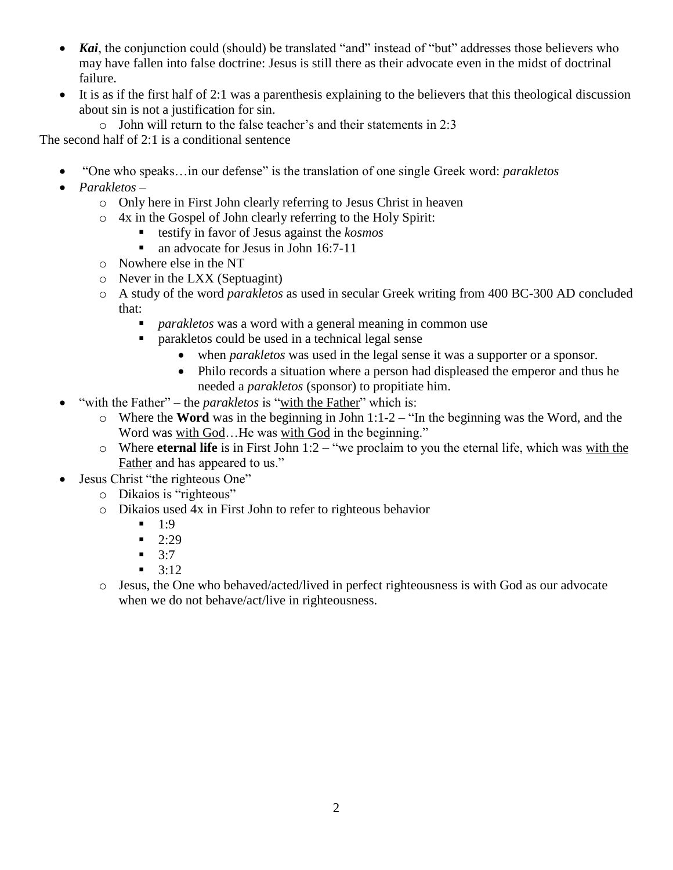- *Kai*, the conjunction could (should) be translated "and" instead of "but" addresses those believers who may have fallen into false doctrine: Jesus is still there as their advocate even in the midst of doctrinal failure.
- $\bullet$  It is as if the first half of 2:1 was a parenthesis explaining to the believers that this theological discussion about sin is not a justification for sin.
	- o John will return to the false teacher's and their statements in 2:3

The second half of 2:1 is a conditional sentence

- "One who speaks…in our defense" is the translation of one single Greek word: *parakletos*
- *Parakletos*
	- o Only here in First John clearly referring to Jesus Christ in heaven
	- o 4x in the Gospel of John clearly referring to the Holy Spirit:
		- testify in favor of Jesus against the *kosmos*
		- an advocate for Jesus in John 16:7-11
	- o Nowhere else in the NT
	- o Never in the LXX (Septuagint)
	- o A study of the word *parakletos* as used in secular Greek writing from 400 BC-300 AD concluded that:
		- *parakletos* was a word with a general meaning in common use
		- parakletos could be used in a technical legal sense
			- when *parakletos* was used in the legal sense it was a supporter or a sponsor.
			- Philo records a situation where a person had displeased the emperor and thus he needed a *parakletos* (sponsor) to propitiate him.
- "with the Father" the *parakletos* is "with the Father" which is:
	- o Where the **Word** was in the beginning in John 1:1-2 "In the beginning was the Word, and the Word was with God...He was with God in the beginning."
	- o Where **eternal life** is in First John 1:2 "we proclaim to you the eternal life, which was with the Father and has appeared to us."
- Jesus Christ "the righteous One"
	- o Dikaios is "righteous"
	- o Dikaios used 4x in First John to refer to righteous behavior
		- $1:9$
		- $-2:29$
		- $-3:7$
		- $-3:12$
	- o Jesus, the One who behaved/acted/lived in perfect righteousness is with God as our advocate when we do not behave/act/live in righteousness.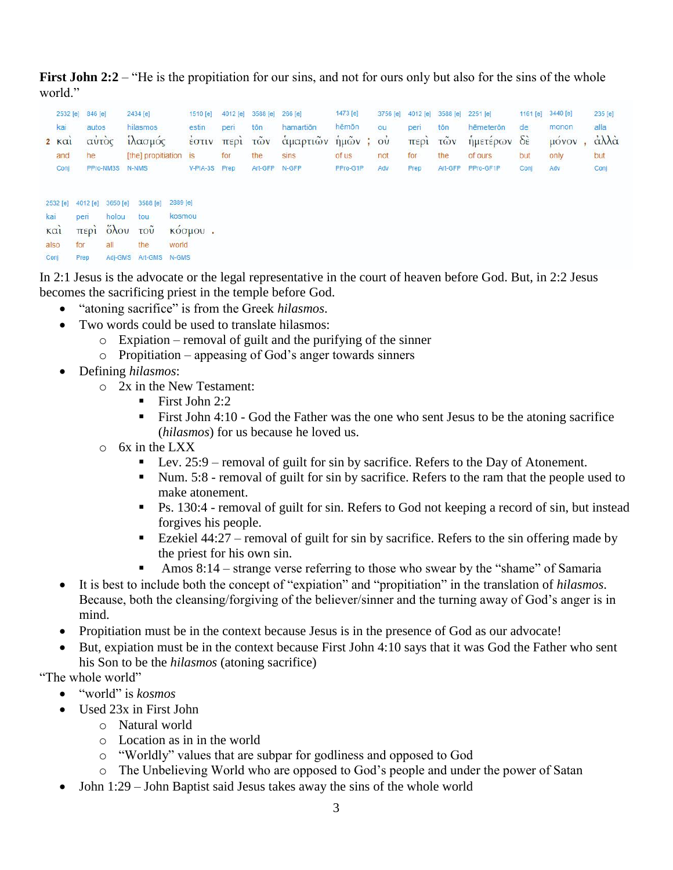**First John 2:2** – "He is the propitiation for our sins, and not for ours only but also for the sins of the whole world."

|              | 2532 [e] 846 [e]                |                                         | 2434 [e]<br>1510 [e]                                       |                                          | 4012 [e]                                        | 3588 [e]   | 266 [e]   | 1473 [e]       | 3756 [e] | 4012 [e]              | 3588 [e] 2251 [e] |           | 1161 [e] 3440 [e] |                         | 235 [e] |      |
|--------------|---------------------------------|-----------------------------------------|------------------------------------------------------------|------------------------------------------|-------------------------------------------------|------------|-----------|----------------|----------|-----------------------|-------------------|-----------|-------------------|-------------------------|---------|------|
| kai<br>autos |                                 |                                         | hilasmos                                                   | estin                                    | peri                                            | tōn        | hamartion | hēmōn          | ou       | peri                  | tōn               | hēmeterōn | de                | monon                   | alla    |      |
|              | 2 K <sub>α1</sub>               | αὐτὸς<br>he<br>PPro-NM3S                |                                                            | ίλασμός                                  |                                                 | εστιν περι | τῶν       | άμαρτιῶν ήμῶν; |          | $\overrightarrow{ov}$ | περί              | τῶν       | ήμετέρων          | $\delta \dot{\epsilon}$ | μόνον   | άλλά |
|              | and                             |                                         |                                                            | [the] propitiation is                    |                                                 | for        | the       | sins           | of us    | not                   | for               | the       | of ours           | but                     | only    | but  |
|              | Conj                            |                                         |                                                            | N-NMS                                    | V-PIA-3S                                        | Prep       | Art-GFP   | N-GFP          | PPro-G1P | Adv                   | Prep              | Art-GFP   | PPro-GF1P         | Conj                    | Adv     | Conj |
| kai          | 2532 [e]<br>καì<br>also<br>Conj | 4012 [e]<br>peri<br>περι<br>for<br>Prep | 3650 [e]<br>holou<br>$\delta \lambda$ ou<br>all<br>Adj-GMS | 3588 [e]<br>tou<br>τοũ<br>the<br>Art-GMS | 2889 [e]<br>kosmou<br>KOOHOU.<br>world<br>N-GMS |            |           |                |          |                       |                   |           |                   |                         |         |      |

In 2:1 Jesus is the advocate or the legal representative in the court of heaven before God. But, in 2:2 Jesus becomes the sacrificing priest in the temple before God.

- "atoning sacrifice" is from the Greek *hilasmos*.
- Two words could be used to translate hilasmos:
	- o Expiation removal of guilt and the purifying of the sinner
	- o Propitiation appeasing of God's anger towards sinners
- Defining *hilasmos*:
	- o 2x in the New Testament:
		- $\blacksquare$  First John 2:2
		- First John 4:10 God the Father was the one who sent Jesus to be the atoning sacrifice (*hilasmos*) for us because he loved us.
	- o 6x in the LXX
		- Lev.  $25:9$  removal of guilt for sin by sacrifice. Refers to the Day of Atonement.
		- Num. 5:8 removal of guilt for sin by sacrifice. Refers to the ram that the people used to make atonement.
		- Ps. 130:4 removal of guilt for sin. Refers to God not keeping a record of sin, but instead forgives his people.
		- Ezekiel  $44:27$  removal of guilt for sin by sacrifice. Refers to the sin offering made by the priest for his own sin.
		- Amos  $8:14$  strange verse referring to those who swear by the "shame" of Samaria
- It is best to include both the concept of "expiation" and "propitiation" in the translation of *hilasmos*. Because, both the cleansing/forgiving of the believer/sinner and the turning away of God's anger is in mind.
- Propitiation must be in the context because Jesus is in the presence of God as our advocate!
- But, expiation must be in the context because First John 4:10 says that it was God the Father who sent his Son to be the *hilasmos* (atoning sacrifice)

"The whole world"

- "world" is *kosmos*
- Used 23x in First John
	- o Natural world
	- $\circ$  Location as in in the world
	- o "Worldly" values that are subpar for godliness and opposed to God
	- o The Unbelieving World who are opposed to God's people and under the power of Satan
- John 1:29 John Baptist said Jesus takes away the sins of the whole world